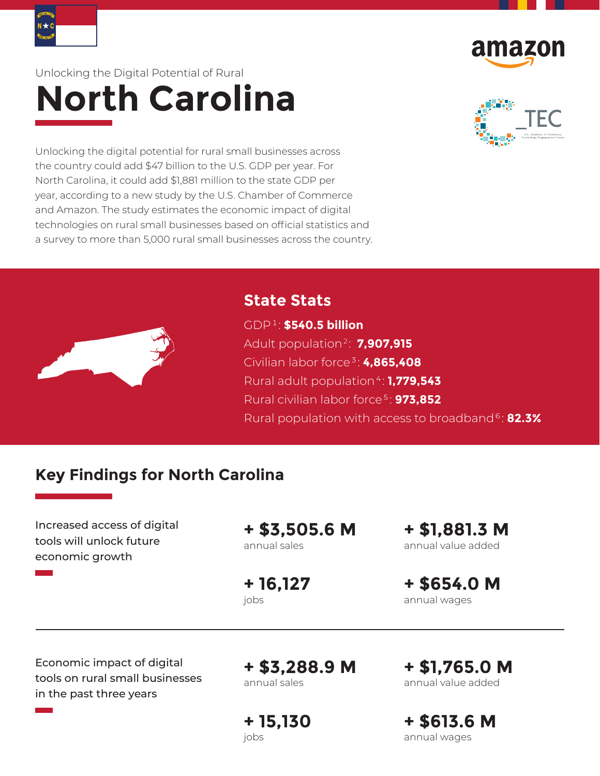



# Unlocking the Digital Potential of Rural **North Carolina**



Unlocking the digital potential for rural small businesses across the country could add \$47 billion to the U.S. GDP per year. For North Carolina, it could add \$1,881 million to the state GDP per year, according to a new study by the U.S. Chamber of Commerce and Amazon. The study estimates the economic impact of digital technologies on rural small businesses based on official statistics and a survey to more than 5,000 rural small businesses across the country.



## **State Stats**

GDP ¹ : **\$540.5 billion** Adult population <sup>2</sup>  : **7,907,915** Civilian labor force ³ : **4,865,408** Rural adult population ⁴ : **1,779,543** Rural civilian labor force ⁵ : **973,852** Rural population with access to broadband ⁶ : **82.3%**

## **Key Findings for North Carolina**

Increased access of digital tools will unlock future economic growth

**+ \$3,505.6 M** annual sales

**+ 16,127** iobs

**+ \$1,881.3 M** annual value added

**+ \$654.0 M** annual wages

Economic impact of digital tools on rural small businesses in the past three years

**+ \$3,288.9 M** annual sales

**+ 15,130** jobs

**+ \$1,765.0 M** annual value added

**+ \$613.6 M** annual wages